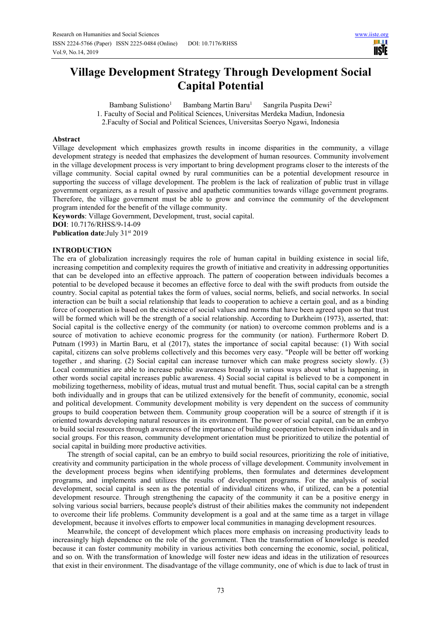# **Village Development Strategy Through Development Social Capital Potential**

Bambang Sulistiono<sup>1</sup> Bambang Martin Baru<sup>1</sup> Sangrila Puspita Dewi<sup>2</sup> 1. Faculty of Social and Political Sciences, Universitas Merdeka Madiun, Indonesia 2.Faculty of Social and Political Sciences, Universitas Soeryo Ngawi, Indonesia

#### **Abstract**

Village development which emphasizes growth results in income disparities in the community, a village development strategy is needed that emphasizes the development of human resources. Community involvement in the village development process is very important to bring development programs closer to the interests of the village community. Social capital owned by rural communities can be a potential development resource in supporting the success of village development. The problem is the lack of realization of public trust in village government organizers, as a result of passive and apathetic communities towards village government programs. Therefore, the village government must be able to grow and convince the community of the development program intended for the benefit of the village community.

**Keywords**: Village Government, Development, trust, social capital.

**DOI**: 10.7176/RHSS/9-14-09

**Publication date:**July 31st 2019

#### **INTRODUCTION**

The era of globalization increasingly requires the role of human capital in building existence in social life, increasing competition and complexity requires the growth of initiative and creativity in addressing opportunities that can be developed into an effective approach. The pattern of cooperation between individuals becomes a potential to be developed because it becomes an effective force to deal with the swift products from outside the country. Social capital as potential takes the form of values, social norms, beliefs, and social networks. In social interaction can be built a social relationship that leads to cooperation to achieve a certain goal, and as a binding force of cooperation is based on the existence of social values and norms that have been agreed upon so that trust will be formed which will be the strength of a social relationship. According to Durkheim (1973), asserted, that: Social capital is the collective energy of the community (or nation) to overcome common problems and is a source of motivation to achieve economic progress for the community (or nation). Furthermore Robert D. Putnam (1993) in Martin Baru, et al (2017), states the importance of social capital because: (1) With social capital, citizens can solve problems collectively and this becomes very easy. "People will be better off working together , and sharing. (2) Social capital can increase turnover which can make progress society slowly. (3) Local communities are able to increase public awareness broadly in various ways about what is happening, in other words social capital increases public awareness. 4) Social social capital is believed to be a component in mobilizing togetherness, mobility of ideas, mutual trust and mutual benefit. Thus, social capital can be a strength both individually and in groups that can be utilized extensively for the benefit of community, economic, social and political development. Community development mobility is very dependent on the success of community groups to build cooperation between them. Community group cooperation will be a source of strength if it is oriented towards developing natural resources in its environment. The power of social capital, can be an embryo to build social resources through awareness of the importance of building cooperation between individuals and in social groups. For this reason, community development orientation must be prioritized to utilize the potential of social capital in building more productive activities.

The strength of social capital, can be an embryo to build social resources, prioritizing the role of initiative, creativity and community participation in the whole process of village development. Community involvement in the development process begins when identifying problems, then formulates and determines development programs, and implements and utilizes the results of development programs. For the analysis of social development, social capital is seen as the potential of individual citizens who, if utilized, can be a potential development resource. Through strengthening the capacity of the community it can be a positive energy in solving various social barriers, because people's distrust of their abilities makes the community not independent to overcome their life problems. Community development is a goal and at the same time as a target in village development, because it involves efforts to empower local communities in managing development resources.

Meanwhile, the concept of development which places more emphasis on increasing productivity leads to increasingly high dependence on the role of the government. Then the transformation of knowledge is needed because it can foster community mobility in various activities both concerning the economic, social, political, and so on. With the transformation of knowledge will foster new ideas and ideas in the utilization of resources that exist in their environment. The disadvantage of the village community, one of which is due to lack of trust in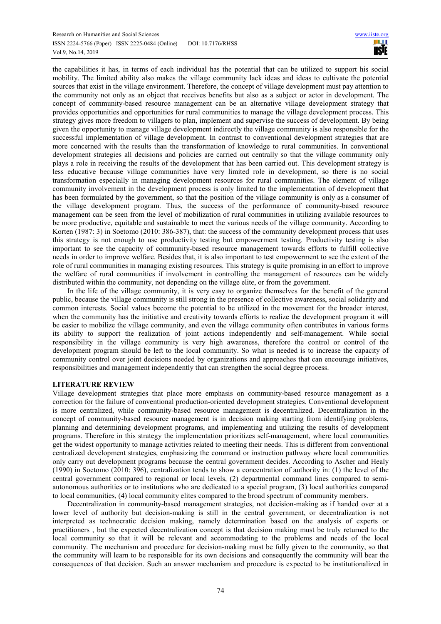the capabilities it has, in terms of each individual has the potential that can be utilized to support his social mobility. The limited ability also makes the village community lack ideas and ideas to cultivate the potential sources that exist in the village environment. Therefore, the concept of village development must pay attention to the community not only as an object that receives benefits but also as a subject or actor in development. The concept of community-based resource management can be an alternative village development strategy that provides opportunities and opportunities for rural communities to manage the village development process. This strategy gives more freedom to villagers to plan, implement and supervise the success of development. By being given the opportunity to manage village development indirectly the village community is also responsible for the successful implementation of village development. In contrast to conventional development strategies that are more concerned with the results than the transformation of knowledge to rural communities. In conventional development strategies all decisions and policies are carried out centrally so that the village community only plays a role in receiving the results of the development that has been carried out. This development strategy is less educative because village communities have very limited role in development, so there is no social transformation especially in managing development resources for rural communities. The element of village community involvement in the development process is only limited to the implementation of development that has been formulated by the government, so that the position of the village community is only as a consumer of the village development program. Thus, the success of the performance of community-based resource management can be seen from the level of mobilization of rural communities in utilizing available resources to be more productive, equitable and sustainable to meet the various needs of the village community. According to Korten (1987: 3) in Soetomo (2010: 386-387), that: the success of the community development process that uses this strategy is not enough to use productivity testing but empowerment testing. Productivity testing is also important to see the capacity of community-based resource management towards efforts to fulfill collective needs in order to improve welfare. Besides that, it is also important to test empowerment to see the extent of the role of rural communities in managing existing resources. This strategy is quite promising in an effort to improve the welfare of rural communities if involvement in controlling the management of resources can be widely distributed within the community, not depending on the village elite, or from the government.

In the life of the village community, it is very easy to organize themselves for the benefit of the general public, because the village community is still strong in the presence of collective awareness, social solidarity and common interests. Social values become the potential to be utilized in the movement for the broader interest, when the community has the initiative and creativity towards efforts to realize the development program it will be easier to mobilize the village community, and even the village community often contributes in various forms its ability to support the realization of joint actions independently and self-management. While social responsibility in the village community is very high awareness, therefore the control or control of the development program should be left to the local community. So what is needed is to increase the capacity of community control over joint decisions needed by organizations and approaches that can encourage initiatives, responsibilities and management independently that can strengthen the social degree process.

# **LITERATURE REVIEW**

Village development strategies that place more emphasis on community-based resource management as a correction for the failure of conventional production-oriented development strategies. Conventional development is more centralized, while community-based resource management is decentralized. Decentralization in the concept of community-based resource management is in decision making starting from identifying problems, planning and determining development programs, and implementing and utilizing the results of development programs. Therefore in this strategy the implementation prioritizes self-management, where local communities get the widest opportunity to manage activities related to meeting their needs. This is different from conventional centralized development strategies, emphasizing the command or instruction pathway where local communities only carry out development programs because the central government decides. According to Ascher and Healy (1990) in Soetomo (2010: 396), centralization tends to show a concentration of authority in: (1) the level of the central government compared to regional or local levels, (2) departmental command lines compared to semiautonomous authorities or to institutions who are dedicated to a special program, (3) local authorities compared to local communities, (4) local community elites compared to the broad spectrum of community members.

Decentralization in community-based management strategies, not decision-making as if handed over at a lower level of authority but decision-making is still in the central government, or decentralization is not interpreted as technocratic decision making, namely determination based on the analysis of experts or practitioners , but the expected decentralization concept is that decision making must be truly returned to the local community so that it will be relevant and accommodating to the problems and needs of the local community. The mechanism and procedure for decision-making must be fully given to the community, so that the community will learn to be responsible for its own decisions and consequently the community will bear the consequences of that decision. Such an answer mechanism and procedure is expected to be institutionalized in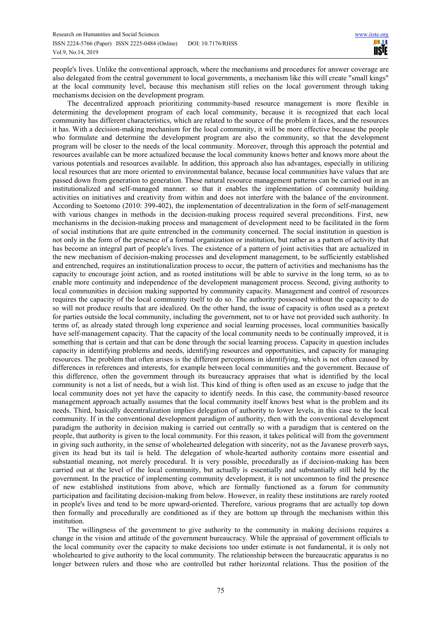people's lives. Unlike the conventional approach, where the mechanisms and procedures for answer coverage are also delegated from the central government to local governments, a mechanism like this will create "small kings" at the local community level, because this mechanism still relies on the local government through taking mechanisms decision on the development program.

The decentralized approach prioritizing community-based resource management is more flexible in determining the development program of each local community, because it is recognized that each local community has different characteristics, which are related to the source of the problem it faces, and the resources it has. With a decision-making mechanism for the local community, it will be more effective because the people who formulate and determine the development program are also the community, so that the development program will be closer to the needs of the local community. Moreover, through this approach the potential and resources available can be more actualized because the local community knows better and knows more about the various potentials and resources available. In addition, this approach also has advantages, especially in utilizing local resources that are more oriented to environmental balance, because local communities have values that are passed down from generation to generation. These natural resource management patterns can be carried out in an institutionalized and self-managed manner. so that it enables the implementation of community building activities on initiatives and creativity from within and does not interfere with the balance of the environment. According to Soetomo (2010: 399-402), the implementation of decentralization in the form of self-management with various changes in methods in the decision-making process required several preconditions. First, new mechanisms in the decision-making process and management of development need to be facilitated in the form of social institutions that are quite entrenched in the community concerned. The social institution in question is not only in the form of the presence of a formal organization or institution, but rather as a pattern of activity that has become an integral part of people's lives. The existence of a pattern of joint activities that are actualized in the new mechanism of decision-making processes and development management, to be sufficiently established and entrenched, requires an institutionalization process to occur, the pattern of activities and mechanisms has the capacity to encourage joint action, and as rooted institutions will be able to survive in the long term, so as to enable more continuity and independence of the development management process. Second, giving authority to local communities in decision making supported by community capacity. Management and control of resources requires the capacity of the local community itself to do so. The authority possessed without the capacity to do so will not produce results that are idealized. On the other hand, the issue of capacity is often used as a pretext for parties outside the local community, including the government, not to or have not provided such authority. In terms of, as already stated through long experience and social learning processes, local communities basically have self-management capacity. That the capacity of the local community needs to be continually improved, it is something that is certain and that can be done through the social learning process. Capacity in question includes capacity in identifying problems and needs, identifying resources and opportunities, and capacity for managing resources. The problem that often arises is the different perceptions in identifying, which is not often caused by differences in references and interests, for example between local communities and the government. Because of this difference, often the government through its bureaucracy appraises that what is identified by the local community is not a list of needs, but a wish list. This kind of thing is often used as an excuse to judge that the local community does not yet have the capacity to identify needs. In this case, the community-based resource management approach actually assumes that the local community itself knows best what is the problem and its needs. Third, basically decentralization implies delegation of authority to lower levels, in this case to the local community. If in the conventional development paradigm of authority, then with the conventional development paradigm the authority in decision making is carried out centrally so with a paradigm that is centered on the people, that authority is given to the local community. For this reason, it takes political will from the government in giving such authority, in the sense of wholehearted delegation with sincerity, not as the Javanese proverb says, given its head but its tail is held. The delegation of whole-hearted authority contains more essential and substantial meaning, not merely procedural. It is very possible, procedurally as if decision-making has been carried out at the level of the local community, but actually is essentially and substantially still held by the government. In the practice of implementing community development, it is not uncommon to find the presence of new established institutions from above, which are formally functioned as a forum for community participation and facilitating decision-making from below. However, in reality these institutions are rarely rooted in people's lives and tend to be more upward-oriented. Therefore, various programs that are actually top down then formally and procedurally are conditioned as if they are bottom up through the mechanism within this institution.

The willingness of the government to give authority to the community in making decisions requires a change in the vision and attitude of the government bureaucracy. While the appraisal of government officials to the local community over the capacity to make decisions too under estimate is not fundamental, it is only not wholehearted to give authority to the local community. The relationship between the bureaucratic apparatus is no longer between rulers and those who are controlled but rather horizontal relations. Thus the position of the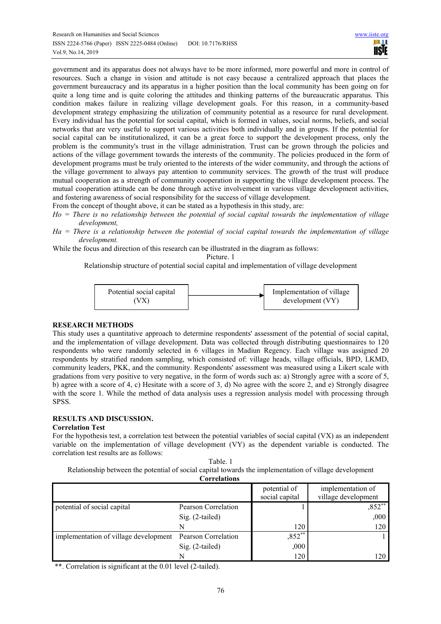government and its apparatus does not always have to be more informed, more powerful and more in control of resources. Such a change in vision and attitude is not easy because a centralized approach that places the government bureaucracy and its apparatus in a higher position than the local community has been going on for quite a long time and is quite coloring the attitudes and thinking patterns of the bureaucratic apparatus. This condition makes failure in realizing village development goals. For this reason, in a community-based development strategy emphasizing the utilization of community potential as a resource for rural development. Every individual has the potential for social capital, which is formed in values, social norms, beliefs, and social networks that are very useful to support various activities both individually and in groups. If the potential for social capital can be institutionalized, it can be a great force to support the development process, only the problem is the community's trust in the village administration. Trust can be grown through the policies and actions of the village government towards the interests of the community. The policies produced in the form of development programs must be truly oriented to the interests of the wider community, and through the actions of the village government to always pay attention to community services. The growth of the trust will produce mutual cooperation as a strength of community cooperation in supporting the village development process. The mutual cooperation attitude can be done through active involvement in various village development activities, and fostering awareness of social responsibility for the success of village development.

- From the concept of thought above, it can be stated as a hypothesis in this study, are:
- *Ho = There is no relationship between the potential of social capital towards the implementation of village development,*
- *Ha = There is a relationship between the potential of social capital towards the implementation of village development.*

While the focus and direction of this research can be illustrated in the diagram as follows:

Picture. 1

Relationship structure of potential social capital and implementation of village development



# **RESEARCH METHODS**

This study uses a quantitative approach to determine respondents' assessment of the potential of social capital, and the implementation of village development. Data was collected through distributing questionnaires to 120 respondents who were randomly selected in 6 villages in Madiun Regency. Each village was assigned 20 respondents by stratified random sampling, which consisted of: village heads, village officials, BPD, LKMD, community leaders, PKK, and the community. Respondents' assessment was measured using a Likert scale with gradations from very positive to very negative, in the form of words such as: a) Strongly agree with a score of 5, b) agree with a score of 4, c) Hesitate with a score of 3, d) No agree with the score 2, and e) Strongly disagree with the score 1. While the method of data analysis uses a regression analysis model with processing through SPSS.

# **RESULTS AND DISCUSSION.**

#### **Correlation Test**

For the hypothesis test, a correlation test between the potential variables of social capital (VX) as an independent variable on the implementation of village development (VY) as the dependent variable is conducted. The correlation test results are as follows:

Table. 1 Relationship between the potential of social capital towards the implementation of village development

|                                       | <b>Correlations</b> |                                |                                          |
|---------------------------------------|---------------------|--------------------------------|------------------------------------------|
|                                       |                     | potential of<br>social capital | implementation of<br>village development |
| potential of social capital           | Pearson Correlation |                                | $,852**$                                 |
|                                       | $Sig. (2-tailed)$   |                                | ,000                                     |
|                                       | N                   | 120                            | 120                                      |
| implementation of village development | Pearson Correlation | $,852**$                       |                                          |
|                                       | Sig. (2-tailed)     | ,000                           |                                          |
|                                       | N                   | 120                            | 120                                      |

\*\*. Correlation is significant at the 0.01 level (2-tailed).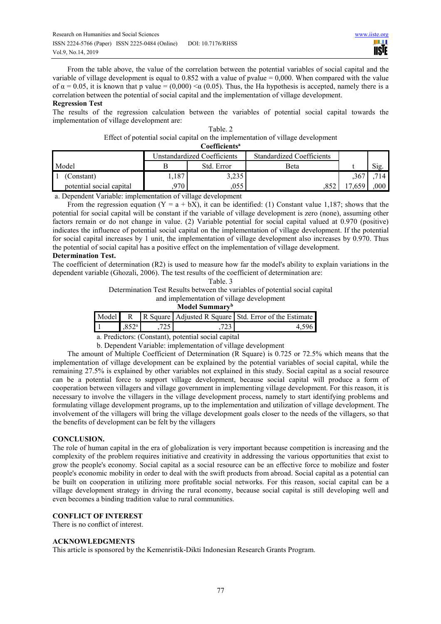From the table above, the value of the correlation between the potential variables of social capital and the variable of village development is equal to 0.852 with a value of pvalue = 0,000. When compared with the value of  $\alpha = 0.05$ , it is known that p value = (0,000)  $\alpha$  (0.05). Thus, the Ha hypothesis is accepted, namely there is a correlation between the potential of social capital and the implementation of village development.

#### **Regression Test**

The results of the regression calculation between the variables of potential social capital towards the implementation of village development are:

| Table, 2                                                                        |  |  |  |  |  |
|---------------------------------------------------------------------------------|--|--|--|--|--|
| Effect of potential social capital on the implementation of village development |  |  |  |  |  |
| Coefficients <sup>a</sup>                                                       |  |  |  |  |  |

| $\sim$                   |                             |            |                           |      |          |  |  |  |
|--------------------------|-----------------------------|------------|---------------------------|------|----------|--|--|--|
|                          | Unstandardized Coefficients |            | Standardized Coefficients |      |          |  |  |  |
| Model                    |                             | Std. Error | Beta                      |      | Sig.     |  |  |  |
| (Constant)               | 1,187                       | 3,235      |                           | ,367 |          |  |  |  |
| potential social capital | 970                         | ,055       |                           | .659 | $.000\,$ |  |  |  |

a. Dependent Variable: implementation of village development

From the regression equation  $(Y = a + bX)$ , it can be identified: (1) Constant value 1,187; shows that the potential for social capital will be constant if the variable of village development is zero (none), assuming other factors remain or do not change in value. (2) Variable potential for social capital valued at 0.970 (positive) indicates the influence of potential social capital on the implementation of village development. If the potential for social capital increases by 1 unit, the implementation of village development also increases by 0.970. Thus the potential of social capital has a positive effect on the implementation of village development.

#### **Determination Test.**

The coefficient of determination (R2) is used to measure how far the model's ability to explain variations in the dependent variable (Ghozali, 2006). The test results of the coefficient of determination are:

Determination Test Results between the variables of potential social capital

and implementation of village development

| Model Summary <sup>b</sup> |               |  |  |                                                                   |  |  |
|----------------------------|---------------|--|--|-------------------------------------------------------------------|--|--|
|                            |               |  |  | Model R R Square   Adjusted R Square   Std. Error of the Estimate |  |  |
| ▌1                         | $852^{\circ}$ |  |  |                                                                   |  |  |
|                            |               |  |  |                                                                   |  |  |

a. Predictors: (Constant), potential social capital

b. Dependent Variable: implementation of village development

The amount of Multiple Coefficient of Determination (R Square) is 0.725 or 72.5% which means that the implementation of village development can be explained by the potential variables of social capital, while the remaining 27.5% is explained by other variables not explained in this study. Social capital as a social resource can be a potential force to support village development, because social capital will produce a form of cooperation between villagers and village government in implementing village development. For this reason, it is necessary to involve the villagers in the village development process, namely to start identifying problems and formulating village development programs, up to the implementation and utilization of village development. The involvement of the villagers will bring the village development goals closer to the needs of the villagers, so that the benefits of development can be felt by the villagers

# **CONCLUSION.**

The role of human capital in the era of globalization is very important because competition is increasing and the complexity of the problem requires initiative and creativity in addressing the various opportunities that exist to grow the people's economy. Social capital as a social resource can be an effective force to mobilize and foster people's economic mobility in order to deal with the swift products from abroad. Social capital as a potential can be built on cooperation in utilizing more profitable social networks. For this reason, social capital can be a village development strategy in driving the rural economy, because social capital is still developing well and even becomes a binding tradition value to rural communities.

#### **CONFLICT OF INTEREST**

There is no conflict of interest.

# **ACKNOWLEDGMENTS**

This article is sponsored by the Kemenristik-Dikti Indonesian Research Grants Program.